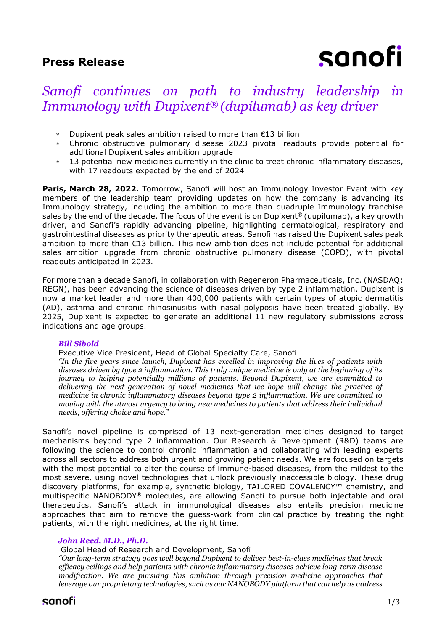# **Press Release**

# sanofi

# *Sanofi continues on path to industry leadership in Immunology with Dupixent® (dupilumab) as key driver*

- Dupixent peak sales ambition raised to more than €13 billion
- Chronic obstructive pulmonary disease 2023 pivotal readouts provide potential for additional Dupixent sales ambition upgrade
- 13 potential new medicines currently in the clinic to treat chronic inflammatory diseases, with 17 readouts expected by the end of 2024

**Paris, March 28, 2022.** Tomorrow, Sanofi will host an Immunology Investor Event with key members of the leadership team providing updates on how the company is advancing its Immunology strategy, including the ambition to more than quadruple Immunology franchise sales by the end of the decade. The focus of the event is on Dupixent<sup>®</sup> (dupilumab), a key growth driver, and Sanofi's rapidly advancing pipeline, highlighting dermatological, respiratory and gastrointestinal diseases as priority therapeutic areas. Sanofi has raised the Dupixent sales peak ambition to more than €13 billion. This new ambition does not include potential for additional sales ambition upgrade from chronic obstructive pulmonary disease (COPD), with pivotal readouts anticipated in 2023.

For more than a decade Sanofi, in collaboration with Regeneron Pharmaceuticals, Inc. (NASDAQ: REGN), has been advancing the science of diseases driven by type 2 inflammation. Dupixent is now a market leader and more than 400,000 patients with certain types of atopic dermatitis (AD), asthma and chronic rhinosinusitis with nasal polyposis have been treated globally. By 2025, Dupixent is expected to generate an additional 11 new regulatory submissions across indications and age groups.

# *Bill Sibold*

#### Executive Vice President, Head of Global Specialty Care, Sanofi

*"In the five years since launch, Dupixent has excelled in improving the lives of patients with diseases driven by type 2 inflammation. This truly unique medicine is only at the beginning of its journey to helping potentially millions of patients. Beyond Dupixent, we are committed to delivering the next generation of novel medicines that we hope will change the practice of medicine in chronic inflammatory diseases beyond type 2 inflammation. We are committed to moving with the utmost urgency to bring new medicines to patients that address their individual needs, offering choice and hope."*

Sanofi's novel pipeline is comprised of 13 next-generation medicines designed to target mechanisms beyond type 2 inflammation. Our Research & Development (R&D) teams are following the science to control chronic inflammation and collaborating with leading experts across all sectors to address both urgent and growing patient needs. We are focused on targets with the most potential to alter the course of immune-based diseases, from the mildest to the most severe, using novel technologies that unlock previously inaccessible biology. These drug discovery platforms, for example, synthetic biology, TAILORED COVALENCY™ chemistry, and multispecific NANOBODY® molecules, are allowing Sanofi to pursue both injectable and oral therapeutics. Sanofi's attack in immunological diseases also entails precision medicine approaches that aim to remove the guess-work from clinical practice by treating the right patients, with the right medicines, at the right time.

# *John Reed, M.D., Ph.D.*

Global Head of Research and Development, Sanofi

*"Our long-term strategy goes well beyond Dupixent to deliver best-in-class medicines that break efficacy ceilings and help patients with chronic inflammatory diseases achieve long-term disease modification. We are pursuing this ambition through precision medicine approaches that leverage our proprietary technologies, such as our NANOBODY platform that can help us address*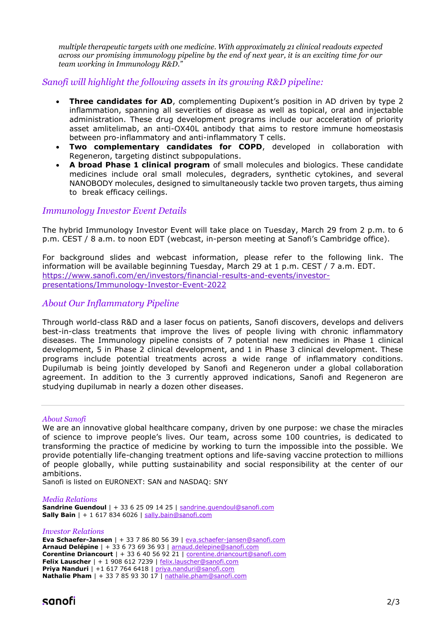*multiple therapeutic targets with one medicine. With approximately 21 clinical readouts expected across our promising immunology pipeline by the end of next year, it is an exciting time for our team working in Immunology R&D."*

# *Sanofi will highlight the following assets in its growing R&D pipeline:*

- **Three candidates for AD**, complementing Dupixent's position in AD driven by type 2 inflammation, spanning all severities of disease as well as topical, oral and injectable administration. These drug development programs include our acceleration of priority asset amlitelimab, an anti-OX40L antibody that aims to restore immune homeostasis between pro-inflammatory and anti-inflammatory T cells.
- **Two complementary candidates for COPD**, developed in collaboration with Regeneron, targeting distinct subpopulations.
- **A broad Phase 1 clinical program** of small molecules and biologics. These candidate medicines include oral small molecules, degraders, synthetic cytokines, and several NANOBODY molecules, designed to simultaneously tackle two proven targets, thus aiming to break efficacy ceilings.

# *Immunology Investor Event Details*

The hybrid Immunology Investor Event will take place on Tuesday, March 29 from 2 p.m. to 6 p.m. CEST / 8 a.m. to noon EDT (webcast, in-person meeting at Sanofi's Cambridge office).

For background slides and webcast information, please refer to the following link. The information will be available beginning Tuesday, March 29 at 1 p.m. CEST / 7 a.m. EDT. [https://www.sanofi.com/en/investors/financial-results-and-events/investor](https://www.sanofi.com/en/investors/financial-results-and-events/investor-presentations/Immunology-Investor-Event-2022)[presentations/Immunology-Investor-Event-2022](https://www.sanofi.com/en/investors/financial-results-and-events/investor-presentations/Immunology-Investor-Event-2022)

# *About Our Inflammatory Pipeline*

Through world-class R&D and a laser focus on patients, Sanofi discovers, develops and delivers best-in-class treatments that improve the lives of people living with chronic inflammatory diseases. The Immunology pipeline consists of 7 potential new medicines in Phase 1 clinical development, 5 in Phase 2 clinical development, and 1 in Phase 3 clinical development. These programs include potential treatments across a wide range of inflammatory conditions. Dupilumab is being jointly developed by Sanofi and Regeneron under a global collaboration agreement. In addition to the 3 currently approved indications, Sanofi and Regeneron are studying dupilumab in nearly a dozen other diseases.

# *About Sanofi*

We are an innovative global healthcare company, driven by one purpose: we chase the miracles of science to improve people's lives. Our team, across some 100 countries, is dedicated to transforming the practice of medicine by working to turn the impossible into the possible. We provide potentially life-changing treatment options and life-saving vaccine protection to millions of people globally, while putting sustainability and social responsibility at the center of our ambitions.

Sanofi is listed on EURONEXT: SAN and NASDAQ: SNY

#### *Media Relations*

**Sandrine Guendoul** | + 33 6 25 09 14 25 | [sandrine.guendoul@sanofi.com](mailto:sandrine.guendoul@sanofi.com) **Sally Bain** | + 1 617 834 6026 | [sally.bain@sanofi.com](mailto:sally.bain@sanofi.com)

#### *Investor Relations*

**Eva Schaefer-Jansen** | + 33 7 86 80 56 39 | [eva.schaefer-jansen@sanofi.com](mailto:eva.schaefer-jansen@sanofi.com) **Arnaud Delépine** | + 33 6 73 69 36 93 | [arnaud.delepine@sanofi.com](mailto:arnaud.delepine@sanofi.com) **Corentine Driancourt** | + 33 6 40 56 92 21 | [corentine.driancourt@sanofi.com](mailto:corentine.driancourt@sanofi.com) **Felix Lauscher** | + 1 908 612 7239 | [felix.lauscher@sanofi.com](mailto:felix.lauscher@sanofi.com) **Priya Nanduri** | +1 617 764 6418 | [priya.nanduri@sanofi.com](mailto:priya.nanduri@sanofi.com) **Nathalie Pham** | + 33 7 85 93 30 17 | [nathalie.pham@sanofi.com](mailto:nathalie.pham@sanofi.com)